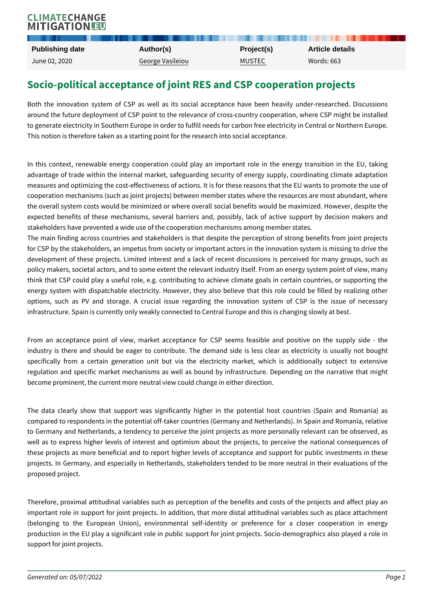## Socio-political acceptance of joint RES and CSP cooperation projects

Both the innovation system of CSP as well as its social acceptance have around the future deployment of CSP point to the relevance of cross-country c to generate electricity in Southern Europe in order to fulfill needs for carbon fr This notion is therefore taken as a starting point for the research into social a

In this context, renewable energy cooperation could play an important role advantage of trade within the internal market, safeguarding security of energ measures and optimizing the cost-effectiveness of actions. It is for these reas cooperation mechanisms (such as joint projects) between member states where the overall system costs would be minimized or where overall social benefits v expected benefits of these mechanisms, several barriers and, possibly, lack stakeholders have prevented a wide use of the cooperation mechanisms among The main finding across countries and stakeholders is that despite the perception of  $\mathbf{r}$ for CSP by the stakeholders, an impetus from society or important actors in th development of these projects. Limited interest and a lack of recent discuss policy makers, societal actors, and to some extent the relevant industry itself. think that CSP could play a useful role, e.g. contributing to achieve climate energy system with dispatchable electricity. However, they also believe that options, such as PV and storage. A crucial issue regarding the innovatio infrastructure. Spain is currently only weakly connected to Central Europe and

From an acceptance point of view, market acceptance for CSP seems feasi industry is there and should be eager to contribute. The demand side is le specifically from a certain generation unit but via the electricity market, regulation and specific market mechanisms as well as bound by infrastructur become prominent, the current more neutral view could change in either direction.

The data clearly show that support was significantly higher in the potenti compared to respondents in the potential off-taker countries (Germany and Net to Germany and Netherlands, a tendency to perceive the joint projects as mo well as to express higher levels of interest and optimism about the projects these projects as more beneficial and to report higher levels of acceptance a projects. In Germany, and especially in Netherlands, stakeholders tended to proposed project.

Therefore, proximal attitudinal variables such as perception of the benefits a important role in support for joint projects. In addition, that more distal attit (belonging to the European Union), environmental self-identity or preference production in the EU play a significant role in public support for joint project support for joint projects.